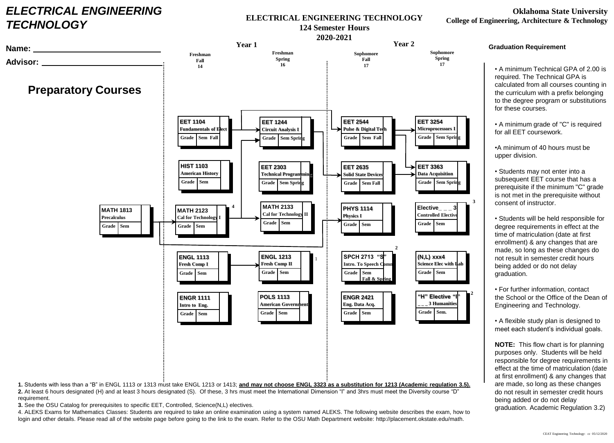## *ELECTRICAL ENGINEERING TECHNOLOGY*

## **ELECTRICAL ENGINEERING TECHNOLOGY 124 Semester Hours**

## **Oklahoma State University College of Engineering, Architecture & Technology**



**1.** Students with less than a "B" in ENGL 1113 or 1313 must take ENGL 1213 or 1413; **and may not choose ENGL 3323 as a substitution for 1213 (Academic regulation 3.5).**

**2.** At least 6 hours designated (H) and at least 3 hours designated (S). Of these, 3 hrs must meet the International Dimension "I" and 3hrs must meet the Diversity course "D" requirement.

**3.** See the OSU Catalog for prerequisites to specific EET, Controlled, Science(N,L) electives.

4. ALEKS Exams for Mathematics Classes: Students are required to take an online examination using a system named ALEKS. The following website describes the exam, how to login and other details. Please read all of the website page before going to the link to the exam. Refer to the OSU Math Department website: http://placement.okstate.edu/math.

## **Graduation Requirement**

• A minimum Technical GPA of 2.00 is required. The Technical GPA is calculated from all courses counting in the curriculum with a prefix belonging to the degree program or substitutions for these courses.

• A minimum grade of "C" is required for all EET coursework.

•A minimum of 40 hours must be upper division.

• Students may not enter into a subsequent EET course that has a prerequisite if the minimum "C" grade is not met in the prerequisite without consent of instructor.

• Students will be held responsible for degree requirements in effect at the time of matriculation (date at first enrollment) & any changes that are made, so long as these changes do not result in semester credit hours being added or do not delay graduation.

• For further information, contact the School or the Office of the Dean of Engineering and Technology.

• A flexible study plan is designed to meet each student's individual goals.

**NOTE:** This flow chart is for planning purposes only. Students will be held responsible for degree requirements in effect at the time of matriculation (date at first enrollment) & any changes that are made, so long as these changes do not result in semester credit hours being added or do not delay graduation. Academic Regulation 3.2)